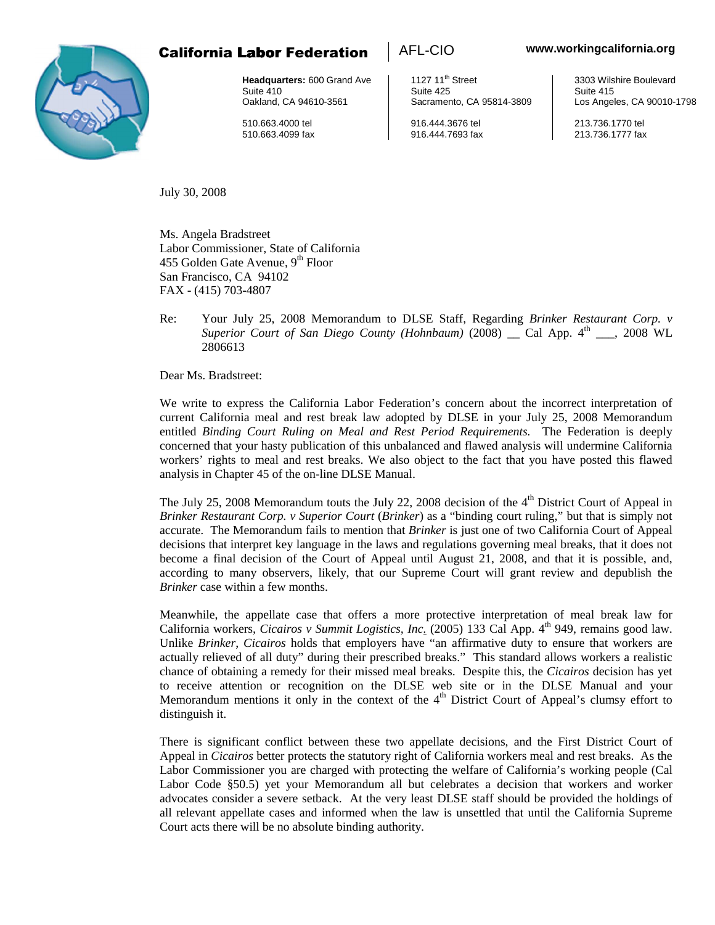### **California Labor Federation** | AFL-CIO www.workingcalifornia.org



Suite 410 Suite 425 Suite 415 Oakland, CA 94610-3561 Sacramento, CA 95814-3809 Los Angeles, CA 90010-1798

**Headquarters:** 600 Grand Ave | 1127 11<sup>th</sup> Street | 3303 Wilshire Boulevard

510.663.4000 tel 916.444.3676 tel 213.736.1770 tel 510.663.4099 fax 916.444.7693 fax 213.736.1777 fax

July 30, 2008

Ms. Angela Bradstreet Labor Commissioner, State of California 455 Golden Gate Avenue,  $9<sup>th</sup>$  Floor San Francisco, CA 94102 FAX - (415) 703-4807

Re: Your July 25, 2008 Memorandum to DLSE Staff, Regarding *Brinker Restaurant Corp. v Superior Court of San Diego County (Hohnbaum)* (2008)  $\sim$  Cal App. 4<sup>th</sup>  $\sim$ , 2008 WL 2806613

Dear Ms. Bradstreet:

We write to express the California Labor Federation's concern about the incorrect interpretation of current California meal and rest break law adopted by DLSE in your July 25, 2008 Memorandum entitled *Binding Court Ruling on Meal and Rest Period Requirements.* The Federation is deeply concerned that your hasty publication of this unbalanced and flawed analysis will undermine California workers' rights to meal and rest breaks. We also object to the fact that you have posted this flawed analysis in Chapter 45 of the on-line DLSE Manual.

The July 25, 2008 Memorandum touts the July 22, 2008 decision of the  $4<sup>th</sup>$  District Court of Appeal in *Brinker Restaurant Corp. v Superior Court* (*Brinker*) as a "binding court ruling," but that is simply not accurate. The Memorandum fails to mention that *Brinker* is just one of two California Court of Appeal decisions that interpret key language in the laws and regulations governing meal breaks, that it does not become a final decision of the Court of Appeal until August 21, 2008, and that it is possible, and, according to many observers, likely, that our Supreme Court will grant review and depublish the *Brinker* case within a few months.

Meanwhile, the appellate case that offers a more protective interpretation of meal break law for California workers, Cicairos v Summit Logistics, Inc. (2005) 133 Cal App. 4<sup>th</sup> 949, remains good law. Unlike *Brinker*, *Cicairos* holds that employers have "an affirmative duty to ensure that workers are actually relieved of all duty" during their prescribed breaks." This standard allows workers a realistic chance of obtaining a remedy for their missed meal breaks. Despite this, the *Cicairos* decision has yet to receive attention or recognition on the DLSE web site or in the DLSE Manual and your Memorandum mentions it only in the context of the  $4<sup>th</sup>$  District Court of Appeal's clumsy effort to distinguish it.

There is significant conflict between these two appellate decisions, and the First District Court of Appeal in *Cicairos* better protects the statutory right of California workers meal and rest breaks. As the Labor Commissioner you are charged with protecting the welfare of California's working people (Cal Labor Code §50.5) yet your Memorandum all but celebrates a decision that workers and worker advocates consider a severe setback. At the very least DLSE staff should be provided the holdings of all relevant appellate cases and informed when the law is unsettled that until the California Supreme Court acts there will be no absolute binding authority.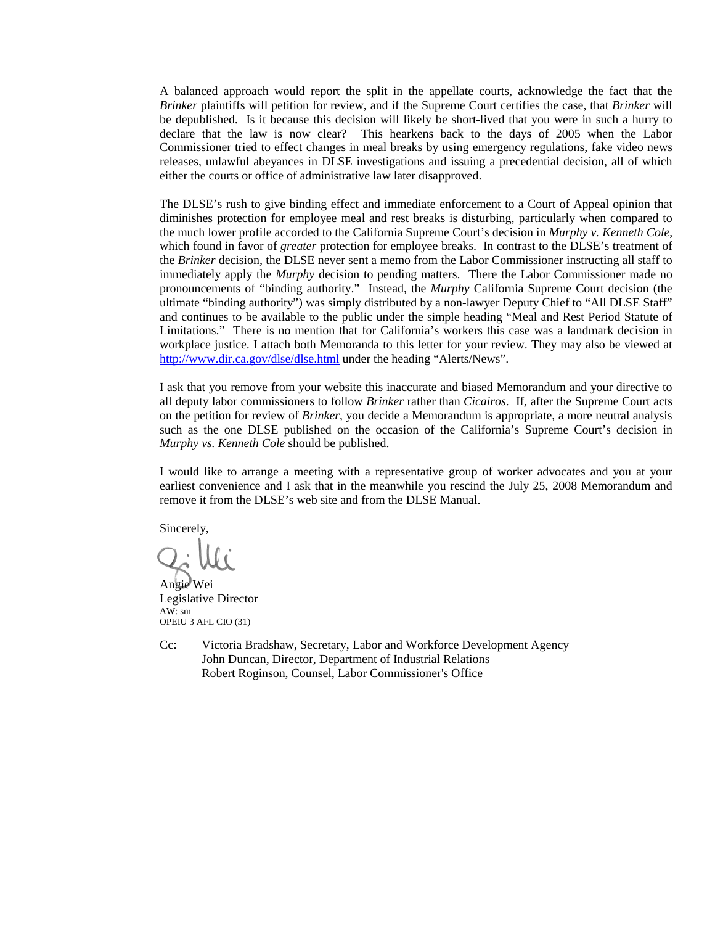A balanced approach would report the split in the appellate courts, acknowledge the fact that the *Brinker* plaintiffs will petition for review, and if the Supreme Court certifies the case, that *Brinker* will be depublished. Is it because this decision will likely be short-lived that you were in such a hurry to declare that the law is now clear? This hearkens back to the days of 2005 when the Labor Commissioner tried to effect changes in meal breaks by using emergency regulations, fake video news releases, unlawful abeyances in DLSE investigations and issuing a precedential decision, all of which either the courts or office of administrative law later disapproved.

The DLSE's rush to give binding effect and immediate enforcement to a Court of Appeal opinion that diminishes protection for employee meal and rest breaks is disturbing, particularly when compared to the much lower profile accorded to the California Supreme Court's decision in *Murphy v. Kenneth Cole*, which found in favor of *greater* protection for employee breaks. In contrast to the DLSE's treatment of the *Brinker* decision, the DLSE never sent a memo from the Labor Commissioner instructing all staff to immediately apply the *Murphy* decision to pending matters. There the Labor Commissioner made no pronouncements of "binding authority." Instead, the *Murphy* California Supreme Court decision (the ultimate "binding authority") was simply distributed by a non-lawyer Deputy Chief to "All DLSE Staff" and continues to be available to the public under the simple heading "Meal and Rest Period Statute of Limitations." There is no mention that for California's workers this case was a landmark decision in workplace justice. I attach both Memoranda to this letter for your review. They may also be viewed at http://www.dir.ca.gov/dlse/dlse.html under the heading "Alerts/News".

I ask that you remove from your website this inaccurate and biased Memorandum and your directive to all deputy labor commissioners to follow *Brinker* rather than *Cicairos*. If, after the Supreme Court acts on the petition for review of *Brinker*, you decide a Memorandum is appropriate, a more neutral analysis such as the one DLSE published on the occasion of the California's Supreme Court's decision in *Murphy vs. Kenneth Cole* should be published.

I would like to arrange a meeting with a representative group of worker advocates and you at your earliest convenience and I ask that in the meanwhile you rescind the July 25, 2008 Memorandum and remove it from the DLSE's web site and from the DLSE Manual.

Sincerely,

Angie Wei Legislative Director AW: sm OPEIU 3 AFL CIO (31)

Cc: Victoria Bradshaw, Secretary, Labor and Workforce Development Agency John Duncan, Director, Department of Industrial Relations Robert Roginson, Counsel, Labor Commissioner's Office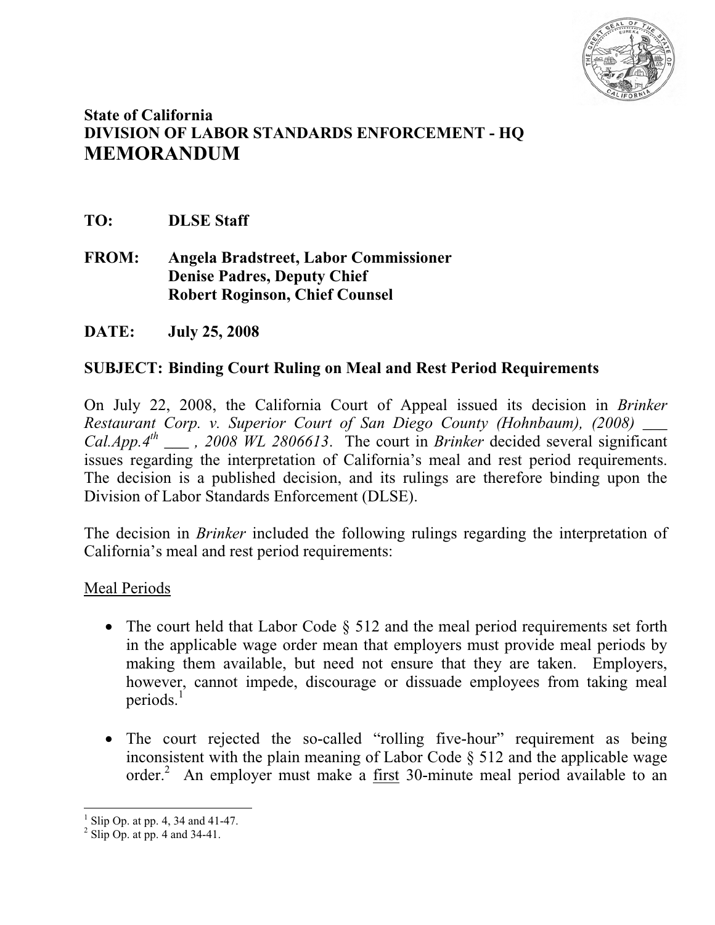

# **State of California DIVISION OF LABOR STANDARDS ENFORCEMENT - HQ MEMORANDUM**

**TO: DLSE Staff** 

**FROM: Angela Bradstreet, Labor Commissioner Denise Padres, Deputy Chief Robert Roginson, Chief Counsel** 

**DATE: July 25, 2008** 

## **SUBJECT: Binding Court Ruling on Meal and Rest Period Requirements**

On July 22, 2008, the California Court of Appeal issued its decision in *Brinker Restaurant Corp. v. Superior Court of San Diego County (Hohnbaum), (2008) \_\_\_*   $Cal. App. 4<sup>th</sup>$ <sub>2008</sub> WL 2806613. The court in *Brinker* decided several significant issues regarding the interpretation of California's meal and rest period requirements. The decision is a published decision, and its rulings are therefore binding upon the Division of Labor Standards Enforcement (DLSE).

The decision in *Brinker* included the following rulings regarding the interpretation of California's meal and rest period requirements:

#### Meal Periods

- The court held that Labor Code  $\S$  512 and the meal period requirements set forth in the applicable wage order mean that employers must provide meal periods by making them available, but need not ensure that they are taken. Employers, however, cannot impede, discourage or dissuade employees from taking meal periods. $<sup>1</sup>$ </sup>
- The court rejected the so-called "rolling five-hour" requirement as being inconsistent with the plain meaning of Labor Code § 512 and the applicable wage order.<sup>2</sup> An employer must make a <u>first</u> 30-minute meal period available to an

<sup>1</sup> Slip Op. at pp. 4, 34 and 41-47.

 $<sup>2</sup>$  Slip Op. at pp. 4 and 34-41.</sup>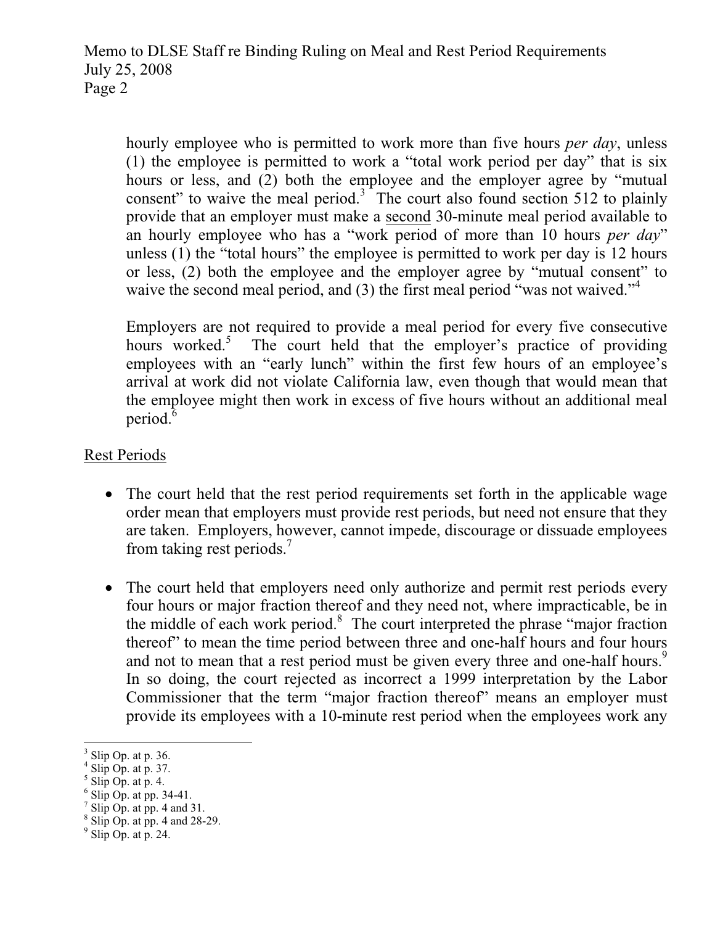hourly employee who is permitted to work more than five hours *per day*, unless (1) the employee is permitted to work a "total work period per day" that is six hours or less, and (2) both the employee and the employer agree by "mutual consent" to waive the meal period.<sup>3</sup> The court also found section 512 to plainly provide that an employer must make a second 30-minute meal period available to an hourly employee who has a "work period of more than 10 hours *per day*" unless (1) the "total hours" the employee is permitted to work per day is 12 hours or less, (2) both the employee and the employer agree by "mutual consent" to waive the second meal period, and (3) the first meal period "was not waived."<sup>4</sup>

Employers are not required to provide a meal period for every five consecutive hours worked.<sup>5</sup> The court held that the employer's practice of providing employees with an "early lunch" within the first few hours of an employee's arrival at work did not violate California law, even though that would mean that the employee might then work in excess of five hours without an additional meal period.<sup>6</sup>

# Rest Periods

- The court held that the rest period requirements set forth in the applicable wage order mean that employers must provide rest periods, but need not ensure that they are taken. Employers, however, cannot impede, discourage or dissuade employees from taking rest periods.<sup>7</sup>
- The court held that employers need only authorize and permit rest periods every four hours or major fraction thereof and they need not, where impracticable, be in the middle of each work period.<sup>8</sup> The court interpreted the phrase "major fraction thereof" to mean the time period between three and one-half hours and four hours and not to mean that a rest period must be given every three and one-half hours.<sup>9</sup> In so doing, the court rejected as incorrect a 1999 interpretation by the Labor Commissioner that the term "major fraction thereof" means an employer must provide its employees with a 10-minute rest period when the employees work any

 $3$  Slip Op. at p. 36.

 $<sup>4</sup>$  Slip Op. at p. 37.</sup>

 $<sup>5</sup>$  Slip Op. at p. 4.</sup>

 $<sup>6</sup>$  Slip Op. at pp. 34-41.</sup>

 $<sup>7</sup>$  Slip Op. at pp. 4 and 31.</sup>

 $8$  Slip Op. at pp. 4 and 28-29.

 $9$  Slip Op. at p. 24.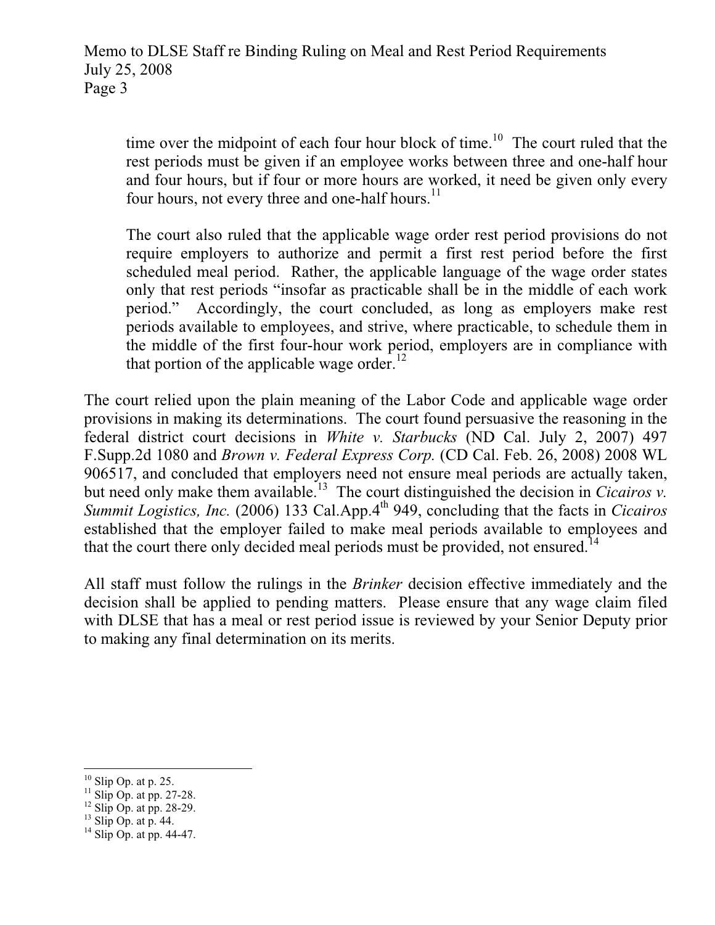time over the midpoint of each four hour block of time.<sup>10</sup> The court ruled that the rest periods must be given if an employee works between three and one-half hour and four hours, but if four or more hours are worked, it need be given only every four hours, not every three and one-half hours. $^{11}$ 

The court also ruled that the applicable wage order rest period provisions do not require employers to authorize and permit a first rest period before the first scheduled meal period. Rather, the applicable language of the wage order states only that rest periods "insofar as practicable shall be in the middle of each work period." Accordingly, the court concluded, as long as employers make rest periods available to employees, and strive, where practicable, to schedule them in the middle of the first four-hour work period, employers are in compliance with that portion of the applicable wage order.<sup>12</sup>

The court relied upon the plain meaning of the Labor Code and applicable wage order provisions in making its determinations. The court found persuasive the reasoning in the federal district court decisions in *White v. Starbucks* (ND Cal. July 2, 2007) 497 F.Supp.2d 1080 and *Brown v. Federal Express Corp.* (CD Cal. Feb. 26, 2008) 2008 WL 906517, and concluded that employers need not ensure meal periods are actually taken, but need only make them available.<sup>13</sup> The court distinguished the decision in *Cicairos v. Summit Logistics, Inc.* (2006) 133 Cal.App.4<sup>th</sup> 949, concluding that the facts in *Cicairos* established that the employer failed to make meal periods available to employees and that the court there only decided meal periods must be provided, not ensured.<sup>14</sup>

All staff must follow the rulings in the *Brinker* decision effective immediately and the decision shall be applied to pending matters. Please ensure that any wage claim filed with DLSE that has a meal or rest period issue is reviewed by your Senior Deputy prior to making any final determination on its merits.

 $10$  Slip Op. at p. 25.

 $11$  Slip Op. at pp. 27-28.

 $12$  Slip Op. at pp. 28-29.

 $^{13}$  Slip Op. at p. 44.

 $14$  Slip Op. at pp. 44-47.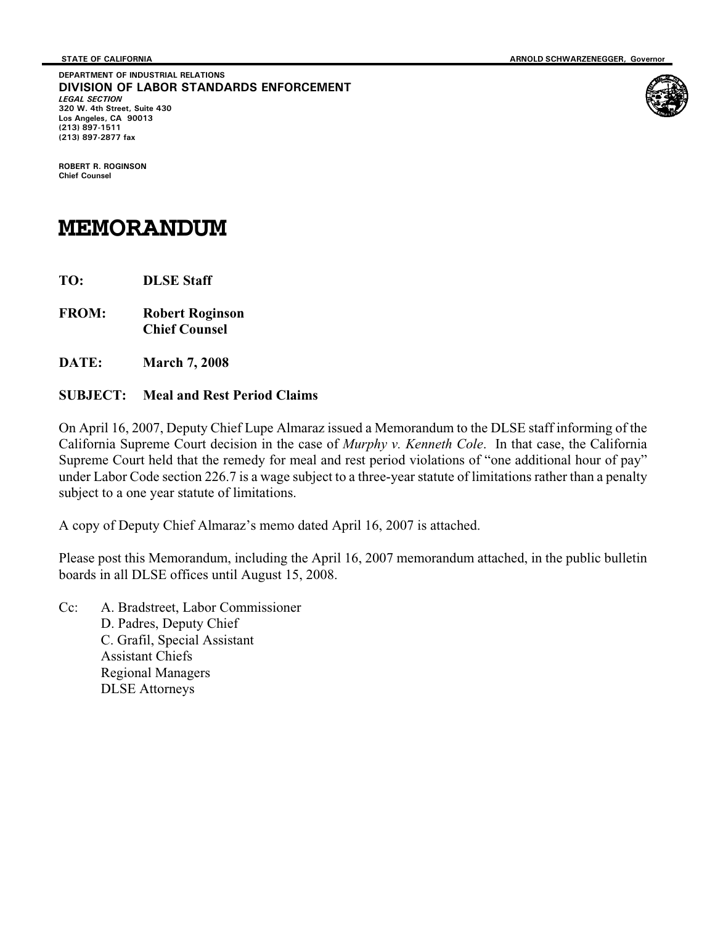**DEPARTMENT OF INDUSTRIAL RELATIONS DIVISION OF LABOR STANDARDS ENFORCEMENT**  *LEGAL SECTION*  **320 W. 4th Street, Suite 430 Los Angeles, CA 90013 (213) 897-1511 (213) 897-2877 fax** 

**ROBERT R. ROGINSON Chief Counsel** 

# **MEMORANDUM**

**TO: DLSE Staff** 

**FROM: Robert Roginson Chief Counsel** 

**DATE: March 7, 2008** 

#### **SUBJECT: Meal and Rest Period Claims**

On April 16, 2007, Deputy Chief Lupe Almaraz issued a Memorandum to the DLSE staff informing of the California Supreme Court decision in the case of *Murphy v. Kenneth Cole*. In that case, the California Supreme Court held that the remedy for meal and rest period violations of "one additional hour of pay" under Labor Code section 226.7 is a wage subject to a three-year statute of limitations rather than a penalty subject to a one year statute of limitations.

A copy of Deputy Chief Almaraz's memo dated April 16, 2007 is attached.

Please post this Memorandum, including the April 16, 2007 memorandum attached, in the public bulletin boards in all DLSE offices until August 15, 2008.

Cc: A. Bradstreet, Labor Commissioner D. Padres, Deputy Chief C. Grafil, Special Assistant Assistant Chiefs Regional Managers DLSE Attorneys